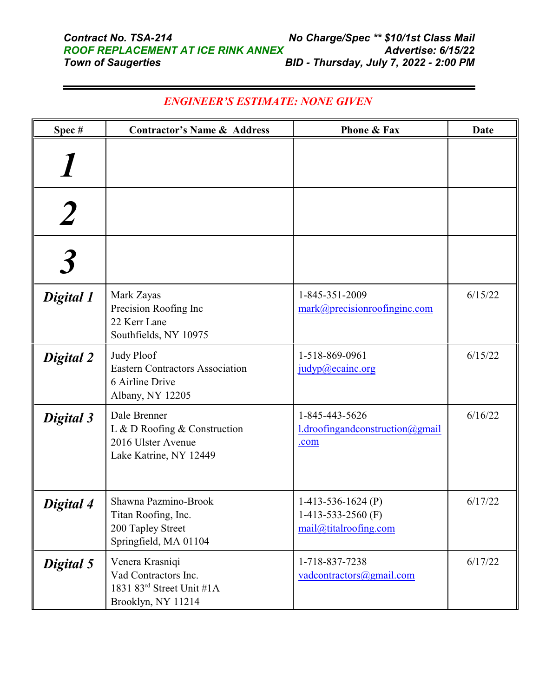| Spec#     | <b>Contractor's Name &amp; Address</b>                                                             | <b>Phone &amp; Fax</b>                                                | <b>Date</b> |
|-----------|----------------------------------------------------------------------------------------------------|-----------------------------------------------------------------------|-------------|
|           |                                                                                                    |                                                                       |             |
|           |                                                                                                    |                                                                       |             |
|           |                                                                                                    |                                                                       |             |
| Digital 1 | Mark Zayas<br>Precision Roofing Inc<br>22 Kerr Lane<br>Southfields, NY 10975                       | 1-845-351-2009<br>mark@precisionroofinginc.com                        | 6/15/22     |
| Digital 2 | <b>Judy Ploof</b><br><b>Eastern Contractors Association</b><br>6 Airline Drive<br>Albany, NY 12205 | 1-518-869-0961<br>judyp@ecainc.org                                    | 6/15/22     |
| Digital 3 | Dale Brenner<br>L & D Roofing & Construction<br>2016 Ulster Avenue<br>Lake Katrine, NY 12449       | 1-845-443-5626<br>l.droofingandconstruction@gmail<br>.com             | 6/16/22     |
| Digital 4 | Shawna Pazmino-Brook<br>Titan Roofing, Inc.<br>200 Tapley Street<br>Springfield, MA 01104          | 1-413-536-1624 $(P)$<br>1-413-533-2560 $(F)$<br>mail@titalroofing.com | 6/17/22     |
| Digital 5 | Venera Krasniqi<br>Vad Contractors Inc.<br>1831 83rd Street Unit #1A<br>Brooklyn, NY 11214         | 1-718-837-7238<br>vadcontractors@gmail.com                            | 6/17/22     |

## *ENGINEER'S ESTIMATE: NONE GIVEN*

 $\blacksquare$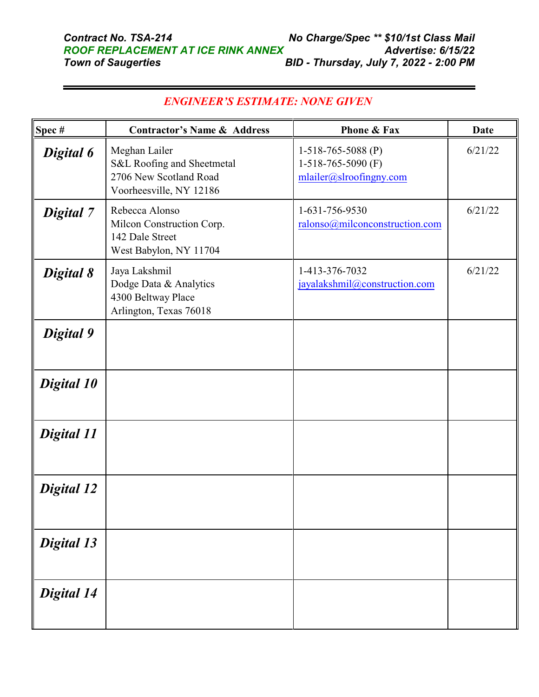| Spec#             | <b>Contractor's Name &amp; Address</b>                                                           | Phone & Fax                                                           | <b>Date</b> |
|-------------------|--------------------------------------------------------------------------------------------------|-----------------------------------------------------------------------|-------------|
| Digital 6         | Meghan Lailer<br>S&L Roofing and Sheetmetal<br>2706 New Scotland Road<br>Voorheesville, NY 12186 | 1-518-765-5088 (P)<br>1-518-765-5090 $(F)$<br>mlailer@slroofingny.com | 6/21/22     |
| Digital 7         | Rebecca Alonso<br>Milcon Construction Corp.<br>142 Dale Street<br>West Babylon, NY 11704         | 1-631-756-9530<br>ralonso@milconconstruction.com                      | 6/21/22     |
| Digital 8         | Jaya Lakshmil<br>Dodge Data & Analytics<br>4300 Beltway Place<br>Arlington, Texas 76018          | 1-413-376-7032<br>jayalakshmil@construction.com                       | 6/21/22     |
| Digital 9         |                                                                                                  |                                                                       |             |
| Digital 10        |                                                                                                  |                                                                       |             |
| Digital 11        |                                                                                                  |                                                                       |             |
| Digital 12        |                                                                                                  |                                                                       |             |
| <b>Digital 13</b> |                                                                                                  |                                                                       |             |
| Digital 14        |                                                                                                  |                                                                       |             |

## *ENGINEER'S ESTIMATE: NONE GIVEN*